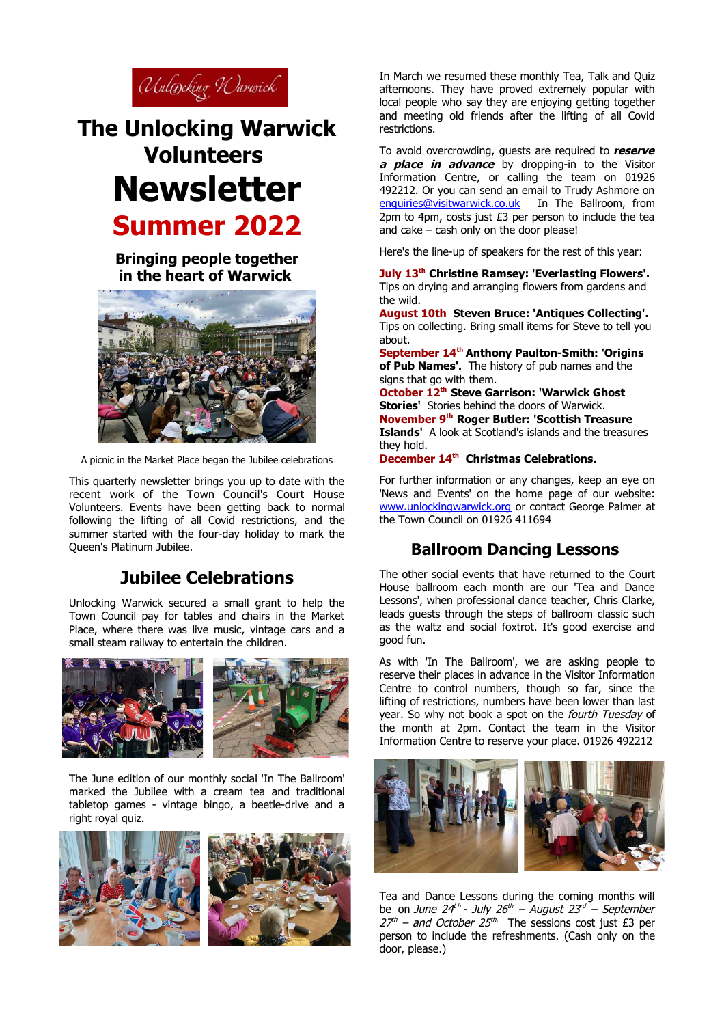

# **The Unlocking Warwick Volunteers Newsletter Summer 2022**

**Bringing people together in the heart of Warwick**



A picnic in the Market Place began the Jubilee celebrations

This quarterly newsletter brings you up to date with the recent work of the Town Council's Court House Volunteers. Events have been getting back to normal following the lifting of all Covid restrictions, and the summer started with the four-day holiday to mark the Queen's Platinum Jubilee.

## **Jubilee Celebrations**

Unlocking Warwick secured a small grant to help the Town Council pay for tables and chairs in the Market Place, where there was live music, vintage cars and a small steam railway to entertain the children.



The June edition of our monthly social 'In The Ballroom' marked the Jubilee with a cream tea and traditional tabletop games - vintage bingo, a beetle-drive and a right royal quiz.



In March we resumed these monthly Tea, Talk and Quiz afternoons. They have proved extremely popular with local people who say they are enjoying getting together and meeting old friends after the lifting of all Covid restrictions.

To avoid overcrowding, guests are required to **reserve a place in advance** by dropping-in to the Visitor Information Centre, or calling the team on 01926 492212. Or you can send an email to Trudy Ashmore on [enquiries@visitwarwick.co.uk](mailto:enquiries@visitwarwick.co.uk) In The Ballroom, from 2pm to 4pm, costs just £3 per person to include the tea and cake – cash only on the door please!

Here's the line-up of speakers for the rest of this year:

**July 13th Christine Ramsey: 'Everlasting Flowers'.**  Tips on drying and arranging flowers from gardens and the wild.

**August 10th Steven Bruce: 'Antiques Collecting'.** Tips on collecting. Bring small items for Steve to tell you about.

**September 14th Anthony Paulton-Smith: 'Origins of Pub Names'.** The history of pub names and the signs that go with them.

**October 12th Steve Garrison: 'Warwick Ghost Stories'** Stories behind the doors of Warwick. **November 9th Roger Butler: 'Scottish Treasure Islands'** A look at Scotland's islands and the treasures they hold.

**December 14th Christmas Celebrations.**

For further information or any changes, keep an eye on 'News and Events' on the home page of our website: [www.unlockingwarwick.org](http://www.unlockingwarwick.org/) or contact George Palmer at the Town Council on 01926 411694

### **Ballroom Dancing Lessons**

The other social events that have returned to the Court House ballroom each month are our 'Tea and Dance Lessons', when professional dance teacher, Chris Clarke, leads guests through the steps of ballroom classic such as the waltz and social foxtrot. It's good exercise and good fun.

As with 'In The Ballroom', we are asking people to reserve their places in advance in the Visitor Information Centre to control numbers, though so far, since the lifting of restrictions, numbers have been lower than last year. So why not book a spot on the *fourth Tuesday* of the month at 2pm. Contact the team in the Visitor Information Centre to reserve your place. 01926 492212



Tea and Dance Lessons during the coming months will be on June 24<sup>th</sup> - July 26<sup>th</sup> – August 23<sup>rd</sup> – September  $27<sup>th</sup>$  – and October 25<sup>th.</sup> The sessions cost just £3 per person to include the refreshments. (Cash only on the door, please.)